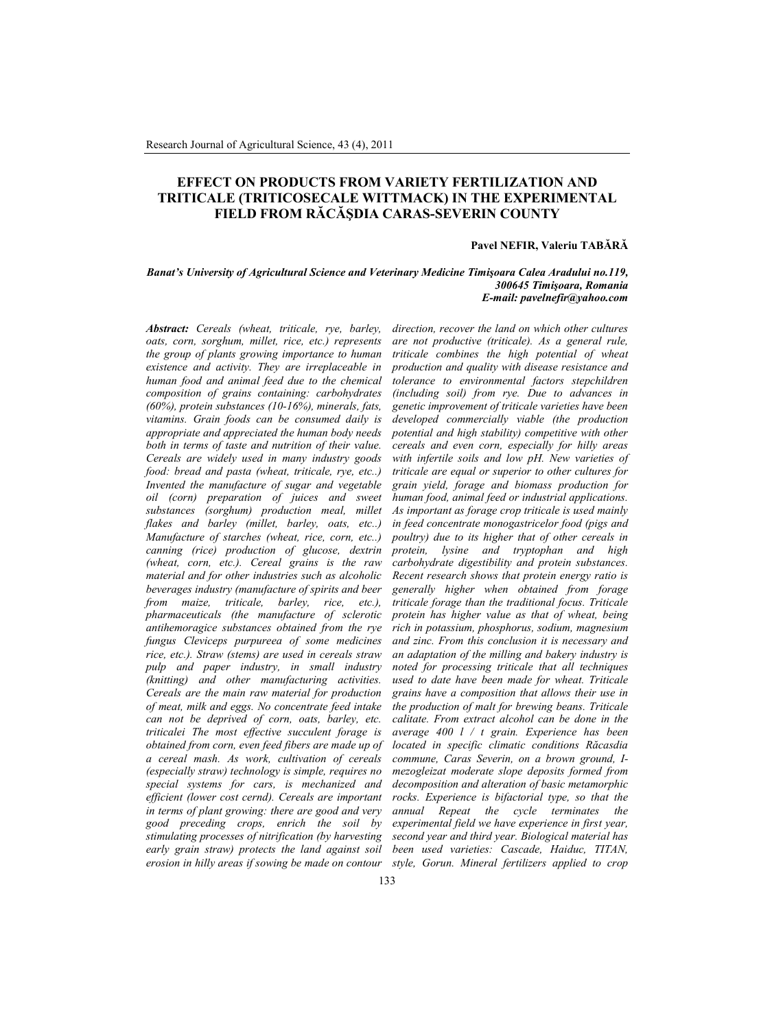# **EFFECT ON PRODUCTS FROM VARIETY FERTILIZATION AND TRITICALE (TRITICOSECALE WITTMACK) IN THE EXPERIMENTAL FIELD FROM RĂCĂŞDIA CARAS-SEVERIN COUNTY**

#### **Pavel NEFIR, Valeriu TABĂRĂ**

#### *Banat's University of Agricultural Science and Veterinary Medicine Timişoara Calea Aradului no.119, 300645 Timişoara, Romania E-mail: pavelnefir@yahoo.com*

*Abstract: Cereals (wheat, triticale, rye, barley, oats, corn, sorghum, millet, rice, etc.) represents the group of plants growing importance to human existence and activity. They are irreplaceable in human food and animal feed due to the chemical composition of grains containing: carbohydrates (60%), protein substances (10-16%), minerals, fats, vitamins. Grain foods can be consumed daily is appropriate and appreciated the human body needs both in terms of taste and nutrition of their value. Cereals are widely used in many industry goods food: bread and pasta (wheat, triticale, rye, etc..) Invented the manufacture of sugar and vegetable oil (corn) preparation of juices and sweet substances (sorghum) production meal, millet flakes and barley (millet, barley, oats, etc..) Manufacture of starches (wheat, rice, corn, etc..) canning (rice) production of glucose, dextrin (wheat, corn, etc.). Cereal grains is the raw material and for other industries such as alcoholic beverages industry (manufacture of spirits and beer from maize, triticale, barley, rice, etc.), pharmaceuticals (the manufacture of sclerotic antihemoragice substances obtained from the rye fungus Cleviceps purpureea of some medicines rice, etc.). Straw (stems) are used in cereals straw pulp and paper industry, in small industry (knitting) and other manufacturing activities. Cereals are the main raw material for production of meat, milk and eggs. No concentrate feed intake can not be deprived of corn, oats, barley, etc. triticalei The most effective succulent forage is obtained from corn, even feed fibers are made up of a cereal mash. As work, cultivation of cereals (especially straw) technology is simple, requires no special systems for cars, is mechanized and efficient (lower cost cernd). Cereals are important in terms of plant growing: there are good and very good preceding crops, enrich the soil by stimulating processes of nitrification (by harvesting early grain straw) protects the land against soil*

*erosion in hilly areas if sowing be made on contour style, Gorun. Mineral fertilizers applied to cropdirection, recover the land on which other cultures are not productive (triticale). As a general rule, triticale combines the high potential of wheat production and quality with disease resistance and tolerance to environmental factors stepchildren (including soil) from rye. Due to advances in genetic improvement of triticale varieties have been developed commercially viable (the production potential and high stability) competitive with other cereals and even corn, especially for hilly areas with infertile soils and low pH. New varieties of triticale are equal or superior to other cultures for grain yield, forage and biomass production for human food, animal feed or industrial applications. As important as forage crop triticale is used mainly in feed concentrate monogastricelor food (pigs and poultry) due to its higher that of other cereals in protein, lysine and tryptophan and high carbohydrate digestibility and protein substances. Recent research shows that protein energy ratio is generally higher when obtained from forage triticale forage than the traditional focus. Triticale protein has higher value as that of wheat, being rich in potassium, phosphorus, sodium, magnesium and zinc. From this conclusion it is necessary and an adaptation of the milling and bakery industry is noted for processing triticale that all techniques used to date have been made for wheat. Triticale grains have a composition that allows their use in the production of malt for brewing beans. Triticale calitate. From extract alcohol can be done in the average 400 l / t grain. Experience has been located in specific climatic conditions Răcasdia commune, Caras Severin, on a brown ground, Imezogleizat moderate slope deposits formed from decomposition and alteration of basic metamorphic rocks. Experience is bifactorial type, so that the annual Repeat the cycle terminates the experimental field we have experience in first year, second year and third year. Biological material has been used varieties: Cascade, Haiduc, TITAN,*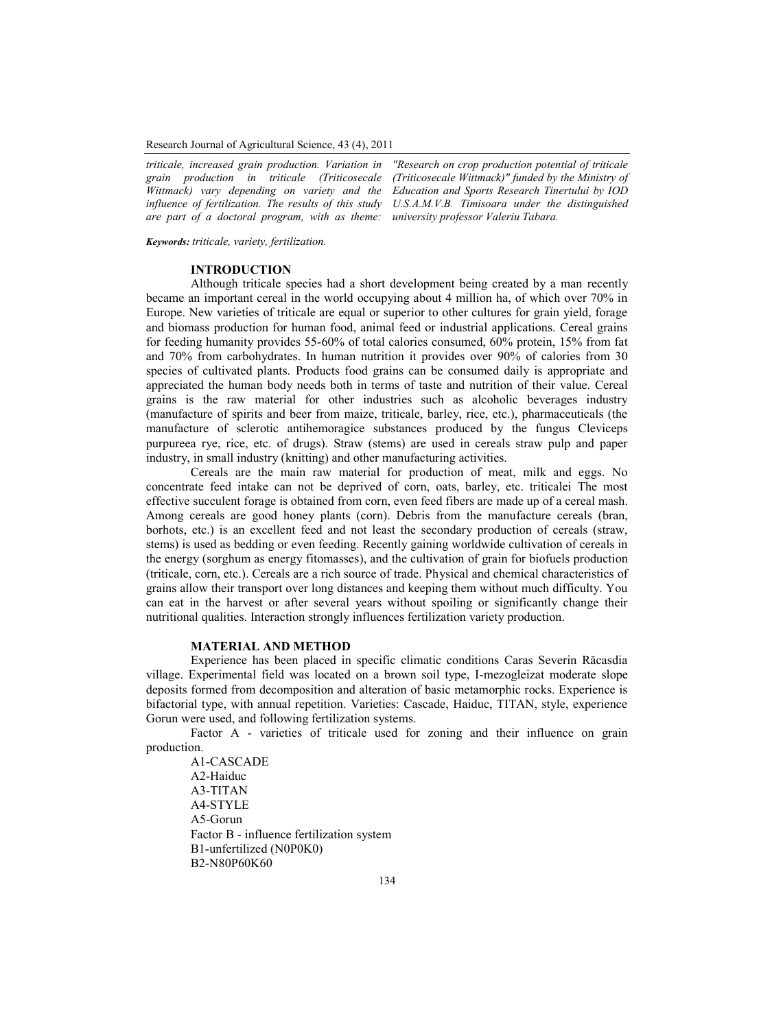Research Journal of Agricultural Science, 43 (4), 2011

*triticale, increased grain production. Variation in grain production in triticale (Triticosecale Wittmack) vary depending on variety and the influence of fertilization. The results of this study are part of a doctoral program, with as theme: university professor Valeriu Tabara.*

*"Research on crop production potential of triticale (Triticosecale Wittmack)" funded by the Ministry of Education and Sports Research Tinertului by IOD U.S.A.M.V.B. Timisoara under the distinguished*

*Keywords: triticale, variety, fertilization.*

#### **INTRODUCTION**

Although triticale species had a short development being created by a man recently became an important cereal in the world occupying about 4 million ha, of which over 70% in Europe. New varieties of triticale are equal or superior to other cultures for grain yield, forage and biomass production for human food, animal feed or industrial applications. Cereal grains for feeding humanity provides 55-60% of total calories consumed, 60% protein, 15% from fat and 70% from carbohydrates. In human nutrition it provides over 90% of calories from 30 species of cultivated plants. Products food grains can be consumed daily is appropriate and appreciated the human body needs both in terms of taste and nutrition of their value. Cereal grains is the raw material for other industries such as alcoholic beverages industry (manufacture of spirits and beer from maize, triticale, barley, rice, etc.), pharmaceuticals (the manufacture of sclerotic antihemoragice substances produced by the fungus Cleviceps purpureea rye, rice, etc. of drugs). Straw (stems) are used in cereals straw pulp and paper industry, in small industry (knitting) and other manufacturing activities.

Cereals are the main raw material for production of meat, milk and eggs. No concentrate feed intake can not be deprived of corn, oats, barley, etc. triticalei The most effective succulent forage is obtained from corn, even feed fibers are made up of a cereal mash. Among cereals are good honey plants (corn). Debris from the manufacture cereals (bran, borhots, etc.) is an excellent feed and not least the secondary production of cereals (straw, stems) is used as bedding or even feeding. Recently gaining worldwide cultivation of cereals in the energy (sorghum as energy fitomasses), and the cultivation of grain for biofuels production (triticale, corn, etc.). Cereals are a rich source of trade. Physical and chemical characteristics of grains allow their transport over long distances and keeping them without much difficulty. You can eat in the harvest or after several years without spoiling or significantly change their nutritional qualities. Interaction strongly influences fertilization variety production.

### **MATERIAL AND METHOD**

Experience has been placed in specific climatic conditions Caras Severin Răcasdia village. Experimental field was located on a brown soil type, I-mezogleizat moderate slope deposits formed from decomposition and alteration of basic metamorphic rocks. Experience is bifactorial type, with annual repetition. Varieties: Cascade, Haiduc, TITAN, style, experience Gorun were used, and following fertilization systems.

Factor A - varieties of triticale used for zoning and their influence on grain production.

A1-CASCADE A2-Haiduc A3-TITAN A4-STYLE A5-Gorun Factor B - influence fertilization system B1-unfertilized (N0P0K0) B2-N80P60K60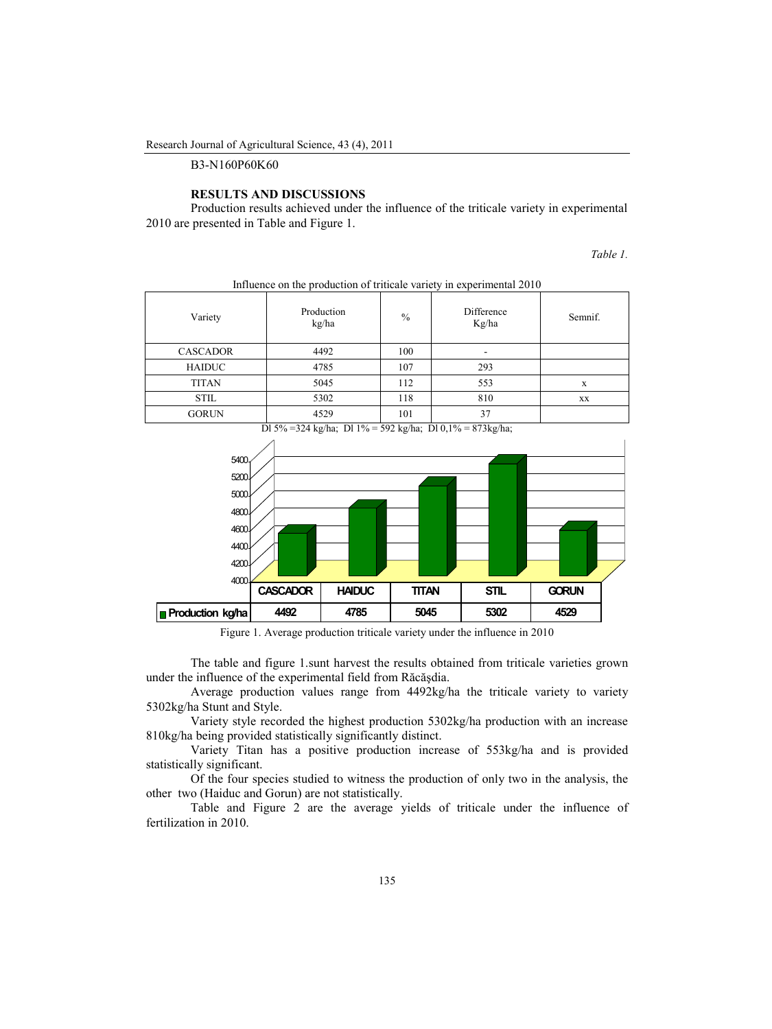B3-N160P60K60

### **RESULTS AND DISCUSSIONS**

Production results achieved under the influence of the triticale variety in experimental 2010 are presented in Table and Figure 1.

*Table 1.*

| Variety         | Production<br>kg/ha | $\%$ | Difference<br>Kg/ha | Semnif. |
|-----------------|---------------------|------|---------------------|---------|
| <b>CASCADOR</b> | 4492                | 100  |                     |         |
| <b>HAIDUC</b>   | 4785                | 107  | 293                 |         |
| <b>TITAN</b>    | 5045                | 112  | 553                 | X       |
| <b>STIL</b>     | 5302                | 118  | 810                 | XX      |
| <b>GORUN</b>    | 4529                | 101  | 37                  |         |

Influence on the production of triticale variety in experimental 2010





Figure 1. Average production triticale variety under the influence in 2010

The table and figure 1.sunt harvest the results obtained from triticale varieties grown under the influence of the experimental field from Răcăşdia.

Average production values range from 4492kg/ha the triticale variety to variety 5302kg/ha Stunt and Style.

Variety style recorded the highest production 5302kg/ha production with an increase 810kg/ha being provided statistically significantly distinct.

Variety Titan has a positive production increase of 553kg/ha and is provided statistically significant.

Of the four species studied to witness the production of only two in the analysis, the other two (Haiduc and Gorun) are not statistically.

Table and Figure 2 are the average yields of triticale under the influence of fertilization in 2010.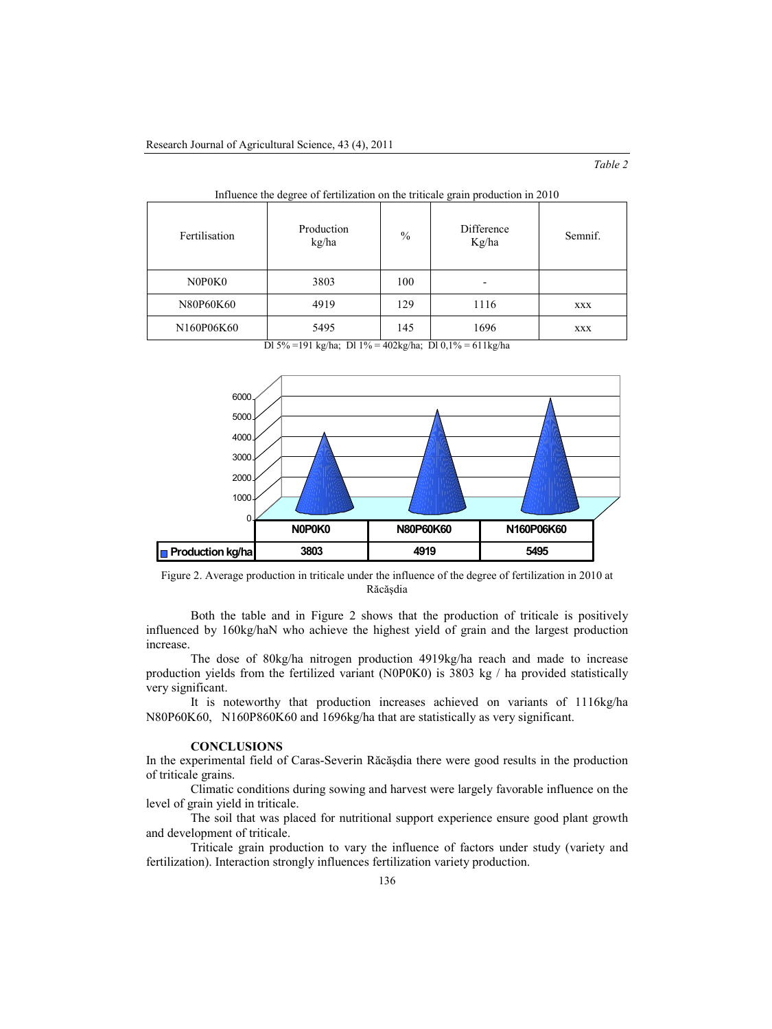| Fertilisation | Production<br>kg/ha | $\%$ | Difference<br>Kg/ha | Semnif.    |
|---------------|---------------------|------|---------------------|------------|
| N0P0K0        | 3803                | 100  |                     |            |
| N80P60K60     | 4919                | 129  | 1116                | <b>XXX</b> |
| N160P06K60    | 5495                | 145  | 1696                | <b>XXX</b> |

| Influence the degree of fertilization on the triticale grain production in 2010 |  |
|---------------------------------------------------------------------------------|--|
|                                                                                 |  |

Dl 5% =191 kg/ha; Dl 1% = 402kg/ha; Dl 0,1% = 611kg/ha



Figure 2. Average production in triticale under the influence of the degree of fertilization in 2010 at Răcăşdia

Both the table and in Figure 2 shows that the production of triticale is positively influenced by 160kg/haN who achieve the highest yield of grain and the largest production increase.

The dose of 80kg/ha nitrogen production 4919kg/ha reach and made to increase production yields from the fertilized variant (N0P0K0) is 3803 kg / ha provided statistically very significant.

It is noteworthy that production increases achieved on variants of 1116kg/ha N80P60K60, N160P860K60 and 1696kg/ha that are statistically as very significant.

### **CONCLUSIONS**

In the experimental field of Caras-Severin Răcăşdia there were good results in the production of triticale grains.

Climatic conditions during sowing and harvest were largely favorable influence on the level of grain yield in triticale.

The soil that was placed for nutritional support experience ensure good plant growth and development of triticale.

Triticale grain production to vary the influence of factors under study (variety and fertilization). Interaction strongly influences fertilization variety production.